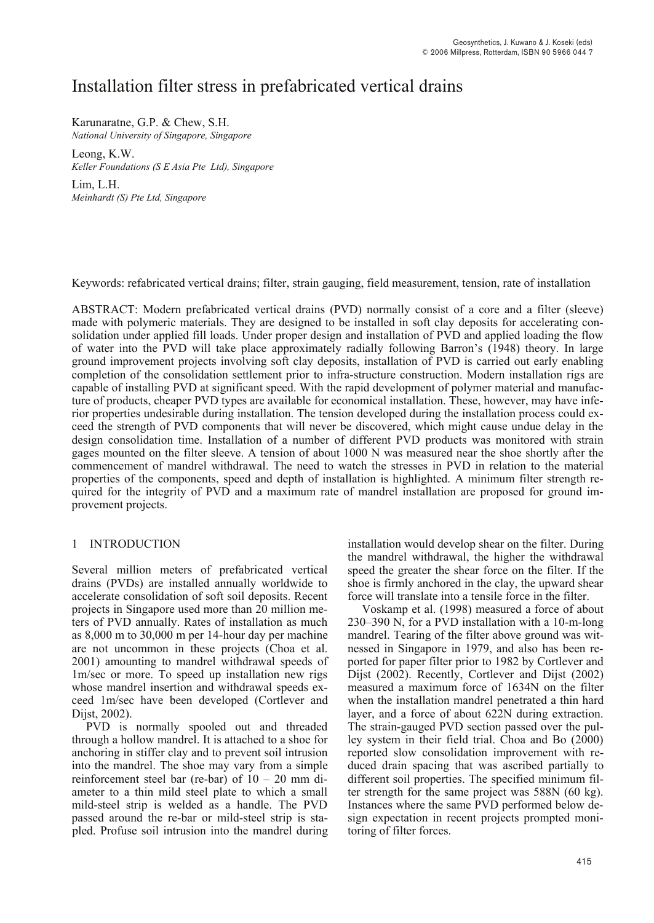# Installation filter stress in prefabricated vertical drains

# Karunaratne, G.P. & Chew, S.H.

*National University of Singapore, Singapore* 

Leong, K.W. *Keller Foundations (S E Asia Pte Ltd), Singapore* 

Lim, L.H. *Meinhardt (S) Pte Ltd, Singapore* 

Keywords: refabricated vertical drains; filter, strain gauging, field measurement, tension, rate of installation

ABSTRACT: Modern prefabricated vertical drains (PVD) normally consist of a core and a filter (sleeve) made with polymeric materials. They are designed to be installed in soft clay deposits for accelerating consolidation under applied fill loads. Under proper design and installation of PVD and applied loading the flow of water into the PVD will take place approximately radially following Barron's (1948) theory. In large ground improvement projects involving soft clay deposits, installation of PVD is carried out early enabling completion of the consolidation settlement prior to infra-structure construction. Modern installation rigs are capable of installing PVD at significant speed. With the rapid development of polymer material and manufacture of products, cheaper PVD types are available for economical installation. These, however, may have inferior properties undesirable during installation. The tension developed during the installation process could exceed the strength of PVD components that will never be discovered, which might cause undue delay in the design consolidation time. Installation of a number of different PVD products was monitored with strain gages mounted on the filter sleeve. A tension of about 1000 N was measured near the shoe shortly after the commencement of mandrel withdrawal. The need to watch the stresses in PVD in relation to the material properties of the components, speed and depth of installation is highlighted. A minimum filter strength required for the integrity of PVD and a maximum rate of mandrel installation are proposed for ground improvement projects.

### 1 INTRODUCTION

Several million meters of prefabricated vertical drains (PVDs) are installed annually worldwide to accelerate consolidation of soft soil deposits. Recent projects in Singapore used more than 20 million meters of PVD annually. Rates of installation as much as 8,000 m to 30,000 m per 14-hour day per machine are not uncommon in these projects (Choa et al. 2001) amounting to mandrel withdrawal speeds of 1m/sec or more. To speed up installation new rigs whose mandrel insertion and withdrawal speeds exceed 1m/sec have been developed (Cortlever and Dijst, 2002).

PVD is normally spooled out and threaded through a hollow mandrel. It is attached to a shoe for anchoring in stiffer clay and to prevent soil intrusion into the mandrel. The shoe may vary from a simple reinforcement steel bar (re-bar) of 10 – 20 mm diameter to a thin mild steel plate to which a small mild-steel strip is welded as a handle. The PVD passed around the re-bar or mild-steel strip is stapled. Profuse soil intrusion into the mandrel during installation would develop shear on the filter. During the mandrel withdrawal, the higher the withdrawal speed the greater the shear force on the filter. If the shoe is firmly anchored in the clay, the upward shear force will translate into a tensile force in the filter.

Voskamp et al. (1998) measured a force of about 230–390 N, for a PVD installation with a 10-m-long mandrel. Tearing of the filter above ground was witnessed in Singapore in 1979, and also has been reported for paper filter prior to 1982 by Cortlever and Dijst (2002). Recently, Cortlever and Dijst (2002) measured a maximum force of 1634N on the filter when the installation mandrel penetrated a thin hard layer, and a force of about 622N during extraction. The strain-gauged PVD section passed over the pulley system in their field trial. Choa and Bo (2000) reported slow consolidation improvement with reduced drain spacing that was ascribed partially to different soil properties. The specified minimum filter strength for the same project was 588N (60 kg). Instances where the same PVD performed below design expectation in recent projects prompted monitoring of filter forces.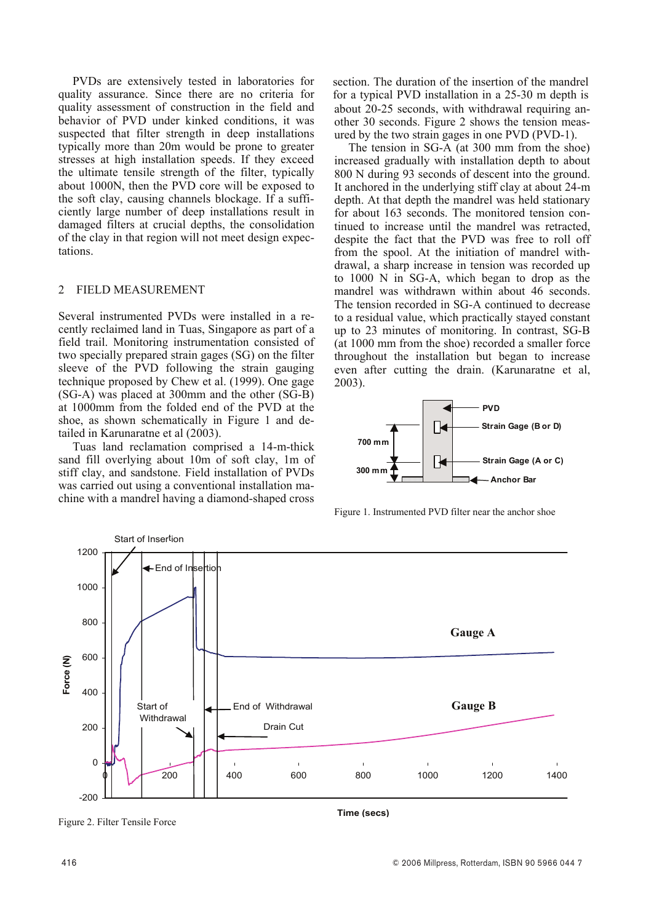PVDs are extensively tested in laboratories for quality assurance. Since there are no criteria for quality assessment of construction in the field and behavior of PVD under kinked conditions, it was suspected that filter strength in deep installations typically more than 20m would be prone to greater stresses at high installation speeds. If they exceed the ultimate tensile strength of the filter, typically about 1000N, then the PVD core will be exposed to the soft clay, causing channels blockage. If a sufficiently large number of deep installations result in damaged filters at crucial depths, the consolidation of the clay in that region will not meet design expectations.

## 2 FIELD MEASUREMENT

Several instrumented PVDs were installed in a recently reclaimed land in Tuas, Singapore as part of a field trail. Monitoring instrumentation consisted of two specially prepared strain gages (SG) on the filter sleeve of the PVD following the strain gauging technique proposed by Chew et al. (1999). One gage  $(SG-A)$  was placed at 300mm and the other  $(S\bar{G}-\bar{B})$ at 1000mm from the folded end of the PVD at the shoe, as shown schematically in Figure 1 and detailed in Karunaratne et al (2003).

Tuas land reclamation comprised a 14-m-thick sand fill overlying about 10m of soft clay, 1m of stiff clay, and sandstone. Field installation of PVDs was carried out using a conventional installation machine with a mandrel having a diamond-shaped cross

section. The duration of the insertion of the mandrel for a typical PVD installation in a 25-30 m depth is about 20-25 seconds, with withdrawal requiring another 30 seconds. Figure 2 shows the tension measured by the two strain gages in one PVD (PVD-1).

The tension in SG-A (at 300 mm from the shoe) increased gradually with installation depth to about 800 N during 93 seconds of descent into the ground. It anchored in the underlying stiff clay at about 24-m depth. At that depth the mandrel was held stationary for about 163 seconds. The monitored tension continued to increase until the mandrel was retracted, despite the fact that the PVD was free to roll off from the spool. At the initiation of mandrel withdrawal, a sharp increase in tension was recorded up to 1000 N in SG-A, which began to drop as the mandrel was withdrawn within about 46 seconds. The tension recorded in SG-A continued to decrease to a residual value, which practically stayed constant up to 23 minutes of monitoring. In contrast, SG-B (at 1000 mm from the shoe) recorded a smaller force throughout the installation but began to increase even after cutting the drain. (Karunaratne et al, 2003).



Figure 1. Instrumented PVD filter near the anchor shoe



Figure 2. Filter Tensile Force

**Time (secs)**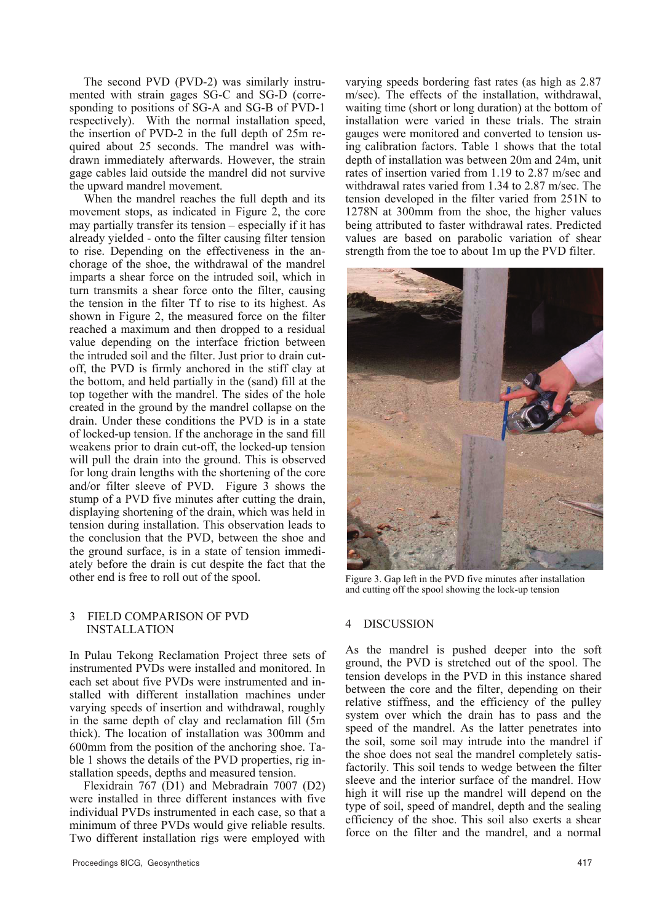The second PVD (PVD-2) was similarly instrumented with strain gages SG-C and SG-D (corresponding to positions of SG-A and SG-B of PVD-1 respectively). With the normal installation speed, the insertion of PVD-2 in the full depth of 25m required about 25 seconds. The mandrel was withdrawn immediately afterwards. However, the strain gage cables laid outside the mandrel did not survive the upward mandrel movement.

When the mandrel reaches the full depth and its movement stops, as indicated in Figure  $\overline{2}$ , the core may partially transfer its tension – especially if it has already yielded - onto the filter causing filter tension to rise. Depending on the effectiveness in the anchorage of the shoe, the withdrawal of the mandrel imparts a shear force on the intruded soil, which in turn transmits a shear force onto the filter, causing the tension in the filter Tf to rise to its highest. As shown in Figure 2, the measured force on the filter reached a maximum and then dropped to a residual value depending on the interface friction between the intruded soil and the filter. Just prior to drain cutoff, the PVD is firmly anchored in the stiff clay at the bottom, and held partially in the (sand) fill at the top together with the mandrel. The sides of the hole created in the ground by the mandrel collapse on the drain. Under these conditions the PVD is in a state of locked-up tension. If the anchorage in the sand fill weakens prior to drain cut-off, the locked-up tension will pull the drain into the ground. This is observed for long drain lengths with the shortening of the core and/or filter sleeve of PVD. Figure  $\overline{3}$  shows the stump of a PVD five minutes after cutting the drain, displaying shortening of the drain, which was held in tension during installation. This observation leads to the conclusion that the PVD, between the shoe and the ground surface, is in a state of tension immediately before the drain is cut despite the fact that the other end is free to roll out of the spool.

#### 3 FIELD COMPARISON OF PVD INSTALLATION

In Pulau Tekong Reclamation Project three sets of instrumented PVDs were installed and monitored. In each set about five PVDs were instrumented and installed with different installation machines under varying speeds of insertion and withdrawal, roughly in the same depth of clay and reclamation fill (5m thick). The location of installation was 300mm and 600mm from the position of the anchoring shoe. Table 1 shows the details of the PVD properties, rig installation speeds, depths and measured tension.

Flexidrain 767 (D1) and Mebradrain 7007 (D2) were installed in three different instances with five individual PVDs instrumented in each case, so that a minimum of three PVDs would give reliable results. Two different installation rigs were employed with

varying speeds bordering fast rates (as high as 2.87 m/sec). The effects of the installation, withdrawal, waiting time (short or long duration) at the bottom of installation were varied in these trials. The strain gauges were monitored and converted to tension using calibration factors. Table 1 shows that the total depth of installation was between 20m and 24m, unit rates of insertion varied from 1.19 to 2.87 m/sec and withdrawal rates varied from 1.34 to 2.87 m/sec. The tension developed in the filter varied from 251N to 1278N at 300mm from the shoe, the higher values being attributed to faster withdrawal rates. Predicted values are based on parabolic variation of shear strength from the toe to about 1m up the PVD filter.



Figure 3. Gap left in the PVD five minutes after installation and cutting off the spool showing the lock-up tension

#### 4 DISCUSSION

As the mandrel is pushed deeper into the soft ground, the PVD is stretched out of the spool. The tension develops in the PVD in this instance shared between the core and the filter, depending on their relative stiffness, and the efficiency of the pulley system over which the drain has to pass and the speed of the mandrel. As the latter penetrates into the soil, some soil may intrude into the mandrel if the shoe does not seal the mandrel completely satisfactorily. This soil tends to wedge between the filter sleeve and the interior surface of the mandrel. How high it will rise up the mandrel will depend on the type of soil, speed of mandrel, depth and the sealing efficiency of the shoe. This soil also exerts a shear force on the filter and the mandrel, and a normal